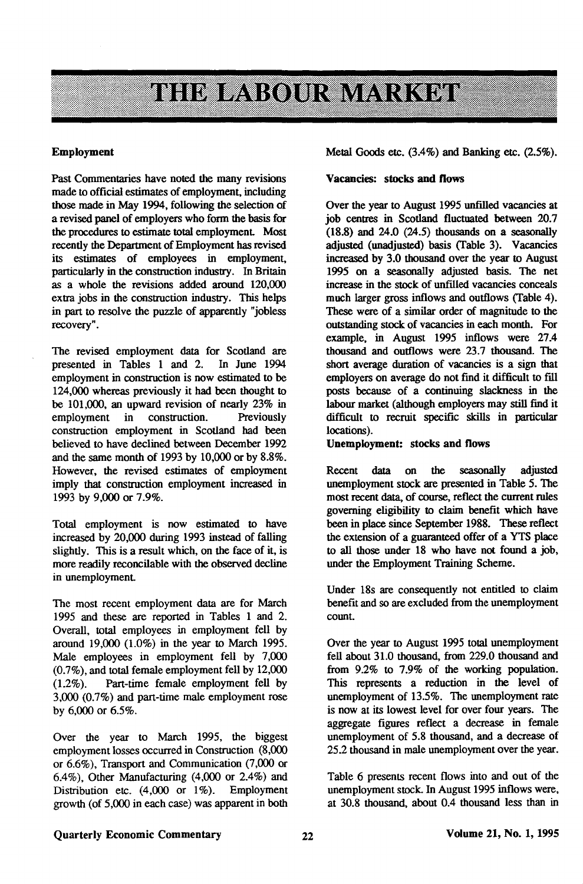# **THE ELABOR MARKET**

### **Employment**

Past Commentaries have noted the many revisions made to official estimates of employment, including those made in May 1994, following the selection of a revised panel of employers who form the basis for the procedures to estimate total employment Most recently the Department of Employment has revised its estimates of employees in employment, particularly in the construction industry. In Britain as a whole the revisions added around 120,000 extra jobs in the construction industry. This helps in part to resolve the puzzle of apparently "jobless recovery".

The revised employment data for Scotland are<br>presented in Tables 1 and 2. In June 1994 presented in Tables 1 and 2. employment in construction is now estimated to be 124,000 whereas previously it had been thought to be 101,000, an upward revision of nearly 23% in employment in construction. Previously employment in construction. Previously construction employment in Scotland had been believed to have declined between December 1992 and the same month of 1993 by 10,000 or by 8.8%. However, the revised estimates of employment imply that construction employment increased in 1993 by 9,000 or 7.9%.

Total employment is now estimated to have increased by 20,000 during 1993 instead of falling slightly. This is a result which, on the face of it, is more readily reconcilable with the observed decline in unemployment

The most recent employment data are for March 1995 and these are reported in Tables 1 and 2. Overall, total employees in employment fell by around 19,000 (1.0%) in the year to March 1995. Male employees in employment fell by 7,000 (0.7%), and total female employment fell by 12,000 (1.2%). Part-time female employment fell by 3,000 (0.7%) and part-time male employment rose by 6,000 or 6.5%.

Over the year to March 1995, the biggest employment losses occurred in Construction (8,000 or 6.6%), Transport and Communication (7,000 or 6.4%), Other Manufacturing (4,000 or 2.4%) and Distribution etc. (4,000 or 1%). Employment growth (of 5,000 in each case) was apparent in both

Metal Goods etc. (3.4%) and Banking etc. (2.5%).

### **Vacancies: stocks and flows**

Over the year to August 1995 unfilled vacancies at job centres in Scotland fluctuated between 20.7  $(18.8)$  and  $24.0$   $(24.5)$  thousands on a seasonally adjusted (unadjusted) basis (Table 3). Vacancies increased by 3.0 thousand over the year to August 1995 on a seasonally adjusted basis. The net increase in the stock of unfilled vacancies conceals much larger gross inflows and outflows (Table 4). These were of a similar order of magnitude to the outstanding stock of vacancies in each month. For example, in August 1995 inflows were 27.4 thousand and outflows were 23.7 thousand. The short average duration of vacancies is a sign that employers on average do not find it difficult to fill posts because of a continuing slackness in the labour market (although employers may still find it difficult to recruit specific skills in particular locations).

## **Unemployment: stocks and flows**

Recent data on the seasonally adjusted unemployment stock are presented in Table 5. The most recent data, of course, reflect the current rules governing eligibility to claim benefit which have been in place since September 1988. These reflect the extension of a guaranteed offer of a YTS place to all those under 18 who have not found a job, under the Employment Training Scheme.

Under 18s are consequently not entitled to claim benefit and so are excluded from die unemployment count.

Over the year to August 1995 total unemployment fell about 31.0 thousand, from 229.0 thousand and from 9.2% to 7.9% of the working population. This represents a reduction in the level of unemployment of 13.5%. The unemployment rate is now at its lowest level for over four years. The aggregate figures reflect a decrease in female unemployment of 5.8 thousand, and a decrease of 25.2 thousand in male unemployment over the year.

Table 6 presents recent flows into and out of the unemployment stock. In August 1995 inflows were, at 30.8 thousand, about 0.4 thousand less than in

# **Quarterly** Economic **Commentary Volume 21, No. 1,1995**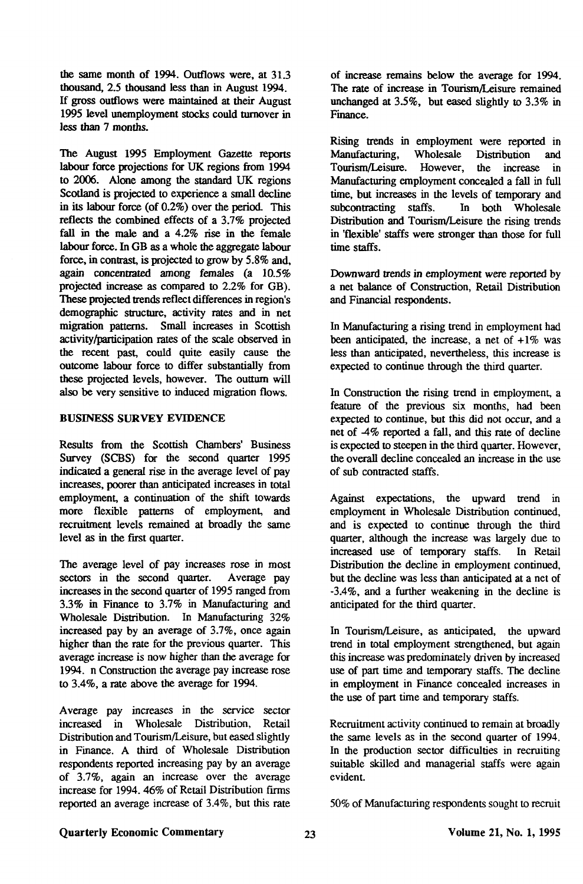the same month of 1994. Outflows were, at 31.3 thousand, 2.5 thousand less than in August 1994. If gross outflows were maintained at their August 1995 level unemployment stocks could turnover in less than 7 months.

The August 1995 Employment Gazette reports labour force projections for UK regions from 1994 to 2006. Alone among the standard UK regions Scotland is projected to experience a small decline in its labour force (of 0.2%) over the period. This reflects the combined effects of a 3.7% projected fall in the male and a 4.2% rise in the female labour force. In GB as a whole the aggregate labour force, in contrast, is projected to grow by 5.8% and, again concentrated among females (a 10.5% projected increase as compared to 2.2% for GB). These projected trends reflect differences in region's demographic structure, activity rates and in net migration patterns. Small increases in Scottish activity/participation rates of the scale observed in the recent past, could quite easily cause the outcome labour force to differ substantially from these projected levels, however. The outturn will also be very sensitive to induced migration flows.

## BUSINESS SURVEY EVIDENCE

Results from the Scottish Chambers' Business Survey (SCBS) for the second quarter 1995 indicated a general rise in the average level of pay increases, poorer than anticipated increases in total employment, a continuation of the shift towards more flexible patterns of employment, and recruitment levels remained at broadly the same level as in the first quarter.

The average level of pay increases rose in most sectors in the second quarter. Average pay increases in the second quarter of 1995 ranged from 3.3% in Finance to 3.7% in Manufacturing and Wholesale Distribution. In Manufacturing 32% increased pay by an average of 3.7%, once again higher than the rate for the previous quarter. This average increase is now higher than the average for 1994. n Construction the average pay increase rose to 3.4%, a rate above the average for 1994.

Average pay increases in the service sector increased in Wholesale Distribution, Retail Distribution and Tourism/Leisure, but eased slightly in Finance. A third of Wholesale Distribution respondents reported increasing pay by an average of 3.7%, again an increase over the average increase for 1994.46% of Retail Distribution firms reported an average increase of 3.4%, but this rate of increase remains below the average for 1994. The rate of increase in Tourism/Leisure remained unchanged at 3.5%, but eased slightly to 3.3% in Finance.

Rising trends in employment were reported in<br>Manufacturing, Wholesale Distribution and Manufacturing, Wholesale Distribution and Tourism/Leisure. However, the increase in Manufacturing employment concealed a fall in full time, but increases in the levels of temporary and subcontracting staffs. In both Wholesale Distribution and Tourism/Leisure the rising trends in 'flexible' staffs were stronger than those for full time staffs.

Downward trends in employment were reported by a net balance of Construction, Retail Distribution and Financial respondents.

In Manufacturing a rising trend in employment had been anticipated, the increase, a net of  $+1\%$  was less than anticipated, nevertheless, this increase is expected to continue through the third quarter.

In Construction the rising trend in employment, a feature of the previous six months, had been expected to continue, but this did not occur, and a net of 4% reported a fall, and this rate of decline is expected to steepen in the third quarter. However, the overall decline concealed an increase in the use of sub contracted staffs.

Against expectations, the upward trend in employment in Wholesale Distribution continued, and is expected to continue through the third quarter, although the increase was largely due to increased use of temporary staffs. In Retail Distribution the decline in employment continued, but the decline was less than anticipated at a net of -3.4%, and a further weakening in the decline is anticipated for the third quarter.

In Tourism/Leisure, as anticipated, the upward trend in total employment strengthened, but again this increase was predominately driven by increased use of part time and temporary staffs. The decline in employment in Finance concealed increases in the use of part time and temporary staffs.

Recruitment activity continued to remain at broadly the same levels as in the second quarter of 1994. In the production sector difficulties in recruiting suitable skilled and managerial staffs were again evident.

50% of Manufacturing respondents sought to recruit

# Quarterly Economic Commentary 23 23 Volume 21, No. 1, 1995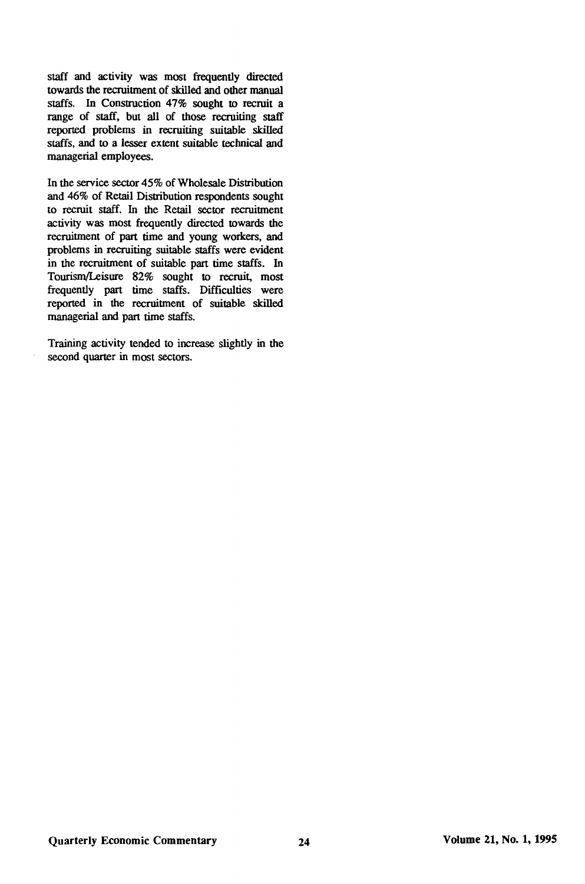staff and activity was most frequently directed towards the recruitment of skilled and other manual staffs. In Construction 47% sought to recruit a range of staff, but all of those recruiting staff reported problems in recruiting suitable skilled staffs, and to a lesser extent suitable technical and managerial employees.

In the service sector 45% of Wholesale Distribution and 46% of Retail Distribution respondents sought to recruit staff. In the Retail sector recruitment activity was most frequently directed towards the recruitment of part time and young workers, and problems in recruiting suitable staffs were evident in the recruitment of suitable part time staffs. In Tourism/Leisure 82% sought to recruit, most frequently part time staffs. Difficulties were reported in the recruitment of suitable skilled managerial and part time staffs.

Training activity tended to increase slightly in the second quarter in most sectors.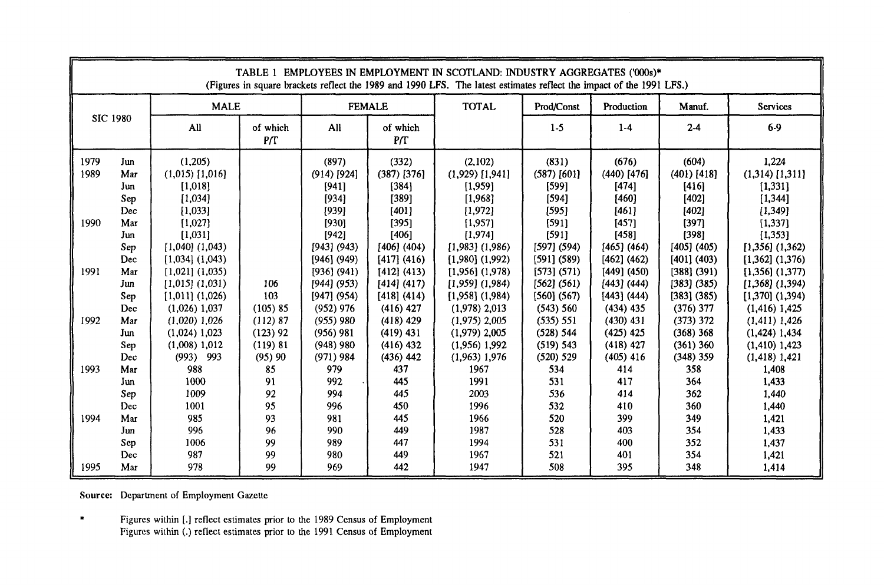|                                                      |                                                                                                                                                                      |                                                                                                                                                                                                                                                                                                                                                        |                                                                                                                     |                                                                                                                                                                                                                                                                            |                                                                                                                                                                                                                                                                              | TABLE 1 EMPLOYEES IN EMPLOYMENT IN SCOTLAND: INDUSTRY AGGREGATES ('000s)*<br>(Figures in square brackets reflect the 1989 and 1990 LFS. The latest estimates reflect the impact of the 1991 LFS.)                                                                                                                                                           |                                                                                                                                                                                                                                                                    |                                                                                                                                                                                                                                                                                |                                                                                                                                                                                                                                                                                    |                                                                                                                                                                                                                                                                                                                                                                          |
|------------------------------------------------------|----------------------------------------------------------------------------------------------------------------------------------------------------------------------|--------------------------------------------------------------------------------------------------------------------------------------------------------------------------------------------------------------------------------------------------------------------------------------------------------------------------------------------------------|---------------------------------------------------------------------------------------------------------------------|----------------------------------------------------------------------------------------------------------------------------------------------------------------------------------------------------------------------------------------------------------------------------|------------------------------------------------------------------------------------------------------------------------------------------------------------------------------------------------------------------------------------------------------------------------------|-------------------------------------------------------------------------------------------------------------------------------------------------------------------------------------------------------------------------------------------------------------------------------------------------------------------------------------------------------------|--------------------------------------------------------------------------------------------------------------------------------------------------------------------------------------------------------------------------------------------------------------------|--------------------------------------------------------------------------------------------------------------------------------------------------------------------------------------------------------------------------------------------------------------------------------|------------------------------------------------------------------------------------------------------------------------------------------------------------------------------------------------------------------------------------------------------------------------------------|--------------------------------------------------------------------------------------------------------------------------------------------------------------------------------------------------------------------------------------------------------------------------------------------------------------------------------------------------------------------------|
|                                                      |                                                                                                                                                                      | <b>MALE</b>                                                                                                                                                                                                                                                                                                                                            |                                                                                                                     |                                                                                                                                                                                                                                                                            | <b>FEMALE</b>                                                                                                                                                                                                                                                                | <b>TOTAL</b>                                                                                                                                                                                                                                                                                                                                                | Prod/Const                                                                                                                                                                                                                                                         | Production                                                                                                                                                                                                                                                                     | Manuf.                                                                                                                                                                                                                                                                             | Services                                                                                                                                                                                                                                                                                                                                                                 |
|                                                      | <b>SIC 1980</b>                                                                                                                                                      | All                                                                                                                                                                                                                                                                                                                                                    | of which<br>P/T                                                                                                     | All                                                                                                                                                                                                                                                                        | of which<br>P/T                                                                                                                                                                                                                                                              |                                                                                                                                                                                                                                                                                                                                                             | $1-5$                                                                                                                                                                                                                                                              | $1-4$                                                                                                                                                                                                                                                                          | $2-4$                                                                                                                                                                                                                                                                              | $6-9$                                                                                                                                                                                                                                                                                                                                                                    |
| 1979<br>1989<br>1990<br>1991<br>1992<br>1993<br>1994 | Jun<br>Mar<br>Jun<br>Sep<br>Dec<br>Mar<br>Jun<br>Sep<br>Dec<br>Mar<br>Jun<br>Sep<br>Dec<br>Mar<br>Jun<br>Sep<br>Dec<br>Mar<br>Jun<br>Sep<br>Dec<br>Mar<br>Jun<br>Sep | (1,205)<br>$(1,015)$ [1,016]<br>[1,018]<br>[1,034]<br>[1,033]<br>[1,027]<br>[1,031]<br>$[1,040]$ $(1,043)$<br>$[1,034]$ $(1,043)$<br>$[1,021]$ $(1,035)$<br>$[1,015]$ $(1,031)$<br>$[1,011]$ $(1,026)$<br>$(1,026)$ 1,037<br>$(1,020)$ 1,026<br>$(1,024)$ 1,023<br>$(1,008)$ 1,012<br>$(993)$ 993<br>988<br>1000<br>1009<br>1001<br>985<br>996<br>1006 | 106<br>103<br>(105) 85<br>(112) 87<br>$(123)$ 92<br>(119) 81<br>$(95)$ 90<br>85<br>91<br>92<br>95<br>93<br>96<br>99 | (897)<br>$(914)$ [924]<br>[941]<br>[934]<br>[939]<br>[930]<br>[942]<br>[943] (943)<br>[946] (949)<br>[936] (941)<br>[944] (953)<br>$[947]$ (954)<br>(952) 976<br>$(955)$ 980<br>$(956)$ 981<br>$(948)$ 980<br>$(971)$ 984<br>979<br>992<br>994<br>996<br>981<br>990<br>989 | (332)<br>$(387)$ [376]<br>[384]<br>[389]<br>[401]<br>[395]<br>[406]<br>$[406]$ (404)<br>[417] (416)<br>[412] (413)<br>[414] (417)<br>[418] (414)<br>$(416)$ 427<br>$(418)$ 429<br>$(419)$ 431<br>$(416)$ 432<br>$(436)$ 442<br>437<br>445<br>445<br>450<br>445<br>449<br>447 | (2,102)<br>$(1,929)$ [1,941]<br>[1,959]<br>[1,968]<br>[1,972]<br>[1,957]<br>[1,974]<br>$\{1,983\}$ (1,986)<br>$[1,980]$ $(1,992)$<br>$[1,956]$ $(1,978)$<br>$[1,959]$ $(1,984)$<br>$[1,958]$ $(1,984)$<br>$(1.978)$ 2.013<br>$(1.975)$ 2,005<br>$(1,979)$ 2,005<br>(1.956) 1.992<br>$(1,963)$ 1,976<br>1967<br>1991<br>2003<br>1996<br>1966<br>1987<br>1994 | (831)<br>$(587)$ [601]<br>[599]<br>[594]<br>[595]<br>[591]<br>[591]<br>$[597]$ (594)<br>[591] (589)<br>[573] (571)<br>[562] (561)<br>[560] (567)<br>(543) 560<br>(535) 551<br>(528) 544<br>(519) 543<br>(520) 529<br>534<br>531<br>536<br>532<br>520<br>528<br>531 | (676)<br>$(440)$ [476]<br>[474]<br>[460]<br>[461]<br>[457]<br>[458]<br>[465] (464)<br>[462] (462)<br>$[449]$ $(450)$<br>[443] (444)<br>[443] (444)<br>$(434)$ 435<br>$(430)$ 431<br>$(425)$ 425<br>$(418)$ 427<br>$(405)$ 416<br>414<br>417<br>414<br>410<br>399<br>403<br>400 | (604)<br>$(401)$ [418]<br>[416]<br>[402]<br>[402]<br>[397]<br>[398]<br>$[405]$ (405)<br>[401] (403)<br>$[388]$ (391)<br>$[383]$ $(385)$<br>$[383]$ (385)<br>$(376)$ 377<br>(373) 372<br>$(368)$ 368<br>$(361)$ 360<br>$(348)$ 359<br>358<br>364<br>362<br>360<br>349<br>354<br>352 | 1,224<br>$(1,314)$ [1,311]<br>[1, 331]<br>[1, 344]<br>[1, 349]<br>[1, 337]<br>[1, 353]<br>$[1,356]$ $(1,362)$<br>$[1,362]$ $(1,376)$<br>$[1,356]$ $(1,377)$<br>$[1,368]$ $(1,394)$<br>$[1,370]$ $(1,394)$<br>$(1,416)$ 1,425<br>$(1,411)$ 1,426<br>$(1,424)$ 1,434<br>$(1,410)$ 1,423<br>$(1, 418)$ 1,421<br>1,408<br>1,433<br>1,440<br>1,440<br>1,421<br>1,433<br>1,437 |
| 1995                                                 | Dec<br>Mar                                                                                                                                                           | 987<br>978                                                                                                                                                                                                                                                                                                                                             | 99<br>99                                                                                                            | 980<br>969                                                                                                                                                                                                                                                                 | 449<br>442                                                                                                                                                                                                                                                                   | 1967<br>1947                                                                                                                                                                                                                                                                                                                                                | 521<br>508                                                                                                                                                                                                                                                         | 401<br>395                                                                                                                                                                                                                                                                     | 354<br>348                                                                                                                                                                                                                                                                         | 1,421<br>1,414                                                                                                                                                                                                                                                                                                                                                           |

Source: Department of Employment Gazette

 $\pmb{\ast}$ Figures within [.] reflect estimates prior to the 1989 Census of Employment Figures within (.) reflect estimates prior to the 1991 Census of Employment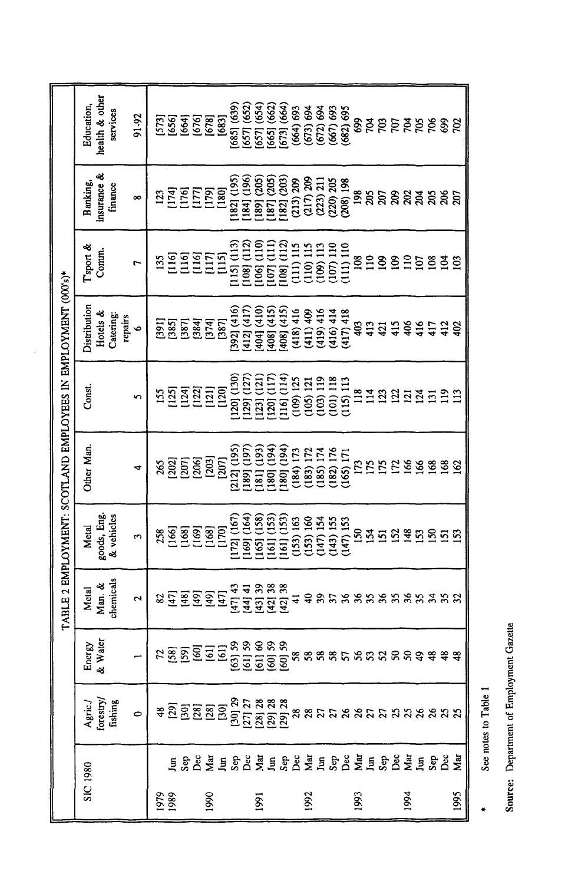|                |                           |                                                         |                                                                                                                                                                                                                                       | <b>AT</b>                    |                                    | BLE 2 EMPLOYMENT: SCOTLAND EMPLOYEES IN EMPLOYMENT (000's)* |                            |                                       |                                                                                                                        |                                                                                  |                                                          |
|----------------|---------------------------|---------------------------------------------------------|---------------------------------------------------------------------------------------------------------------------------------------------------------------------------------------------------------------------------------------|------------------------------|------------------------------------|-------------------------------------------------------------|----------------------------|---------------------------------------|------------------------------------------------------------------------------------------------------------------------|----------------------------------------------------------------------------------|----------------------------------------------------------|
| SIC 1980       |                           | Agric./<br>forestry/<br>fishing                         | Energy<br>& Water                                                                                                                                                                                                                     | chemicals<br>Man. &<br>Metal | goods, Eng.<br>& vehicles<br>Metal | Other Man.                                                  | Const.                     | Distribution<br>Hotels &<br>Catering: | l'sport &<br>Comm.                                                                                                     | insurance &<br>Banking,<br>finance                                               | health & other<br>Education,<br>services                 |
|                |                           | $\circ$                                                 |                                                                                                                                                                                                                                       | 2                            | 3                                  | ෑ                                                           | S                          | repairs<br>$\bullet$                  | r                                                                                                                      | $\infty$                                                                         | 91-92                                                    |
| 1979           |                           | ະ <u>ລັດສະລັດສິດ ສະສະ</u><br>ຂໍ້ <u>ຕິດສະລັດສິດສະສະ</u> |                                                                                                                                                                                                                                       | 23                           | 258                                | 265                                                         | 155                        |                                       | 135                                                                                                                    | 123                                                                              |                                                          |
|                |                           |                                                         |                                                                                                                                                                                                                                       |                              | $\frac{66}{1}$                     | [202]                                                       |                            |                                       |                                                                                                                        | [174]                                                                            |                                                          |
|                | ESPEESPEESPEESPEESPEESPEE |                                                         | <u>ដន្ត ទី ក្នុង ក្នុង ក្នុង ក្នុង ក្នុង ក្នុង ក្នុង ក្នុង ក្នុង ក្នុង ក្នុង ក្នុង ក្នុង ក្នុង ក្នុង ក្នុង ក្នុង</u><br>ក្នុង ក្នុង ក្នុង ក្នុង ក្នុង ក្នុង ក្នុង ក្នុង ក្នុង ក្នុង ក្នុង ក្នុង ក្នុង ក្នុង ក្នុង ក្នុង ក្នុង ក្នុង ក | <u> 도</u> 물 호                | 168<br>169<br>168                  | $\begin{bmatrix} 207 \ 206 \end{bmatrix}$                   |                            | <b>ESSERE</b><br>ESSERE               | gggen<br>EEEEE                                                                                                         | EEEE                                                                             | 539<br>1639<br>1630<br>1630                              |
| 1990           |                           |                                                         |                                                                                                                                                                                                                                       |                              |                                    | [203]                                                       |                            |                                       |                                                                                                                        |                                                                                  |                                                          |
|                |                           |                                                         |                                                                                                                                                                                                                                       | $[47]$                       | [170]                              | [207]                                                       |                            |                                       |                                                                                                                        |                                                                                  |                                                          |
|                |                           |                                                         |                                                                                                                                                                                                                                       | [47] 43                      | 172] (167)                         | 212] (195                                                   | 120] (130)                 | 392] (416)                            | $[15]$ $(113)$                                                                                                         | 182] (195)                                                                       | [685] (639]                                              |
|                |                           |                                                         |                                                                                                                                                                                                                                       | $[44]$ 41                    | 169] (164)                         | 189] (197                                                   | 129] (127                  | $(412)$ $(417)$                       | 108] (112)                                                                                                             | 184] (196)                                                                       | [657] (652)<br>[657] (654)                               |
| $\overline{8}$ |                           |                                                         |                                                                                                                                                                                                                                       | $[43]$ 39                    | 165] (158)                         | 181] (193)                                                  | [123] (121)<br>[120] (117) | [404] (410)<br>[408] (415)            | $\begin{array}{ c } \hline \text{[106] (110)} \hline \text{[107] (111)} \hline \end{array}$                            | [189] (205)<br>[187] (205)<br>[187] (203)<br>[187] 209<br>(217) 209<br>(223) 211 |                                                          |
|                |                           |                                                         |                                                                                                                                                                                                                                       | [42] 38                      | 161] (153                          | 180] (194                                                   |                            |                                       |                                                                                                                        |                                                                                  | $[665]$ $(662)$                                          |
|                |                           |                                                         |                                                                                                                                                                                                                                       | [42] 38                      | 161] (153)                         | 180] (194)                                                  | 116] (114)                 | 408] (415)                            | $\begin{array}{l} 1081 \ (112) \\ (111) \ 115 \\ (110) \ 115 \\ (109) \ 113 \\ (107) \ 119 \\ (107) \ 110 \end{array}$ |                                                                                  | [673] (664)                                              |
|                |                           |                                                         |                                                                                                                                                                                                                                       | ₹                            | (153) 163                          | (184) 173                                                   | (109) 125                  | (418)416                              |                                                                                                                        |                                                                                  | $(664)$ 693                                              |
| 1992           |                           |                                                         |                                                                                                                                                                                                                                       | ş                            | (153) 160                          | (183) 172                                                   | (105) 121                  | (411)409                              |                                                                                                                        |                                                                                  | $(673) 694$<br>$(672) 694$<br>$(667) 693$<br>$(682) 693$ |
|                |                           |                                                         |                                                                                                                                                                                                                                       | 39                           | (147) 154                          | (185) 174                                                   | (103) 119                  | (419)416                              |                                                                                                                        |                                                                                  |                                                          |
|                |                           |                                                         |                                                                                                                                                                                                                                       | 58                           | (143) 155                          | $182$ ) $176$                                               | 101) 118                   | (416) 414                             |                                                                                                                        | $(220)$ $205$                                                                    |                                                          |
|                |                           |                                                         |                                                                                                                                                                                                                                       |                              | $(147)$ 153                        | (165) 171                                                   | $(115)$ $113$              | (417) 418                             | (111) 110                                                                                                              | $(208)$ 198                                                                      |                                                          |
| 1993           |                           |                                                         |                                                                                                                                                                                                                                       | 36                           | 150                                |                                                             | 118                        | 403                                   | $\frac{8}{110}$                                                                                                        | 198                                                                              | 699                                                      |
|                |                           |                                                         |                                                                                                                                                                                                                                       |                              | 154                                | 175                                                         | $\frac{14}{11}$            | 413                                   |                                                                                                                        | 205                                                                              | ŘЯ                                                       |
|                |                           |                                                         |                                                                                                                                                                                                                                       | 55585558                     |                                    | I75<br>172                                                  | 123                        | 2158                                  | $\mathbf{g}$                                                                                                           | ន្តន្តន                                                                          | <b>SSSSSS</b>                                            |
|                |                           |                                                         |                                                                                                                                                                                                                                       |                              | 152                                |                                                             | $\frac{23}{21}$            |                                       | $\mathbf{S}$                                                                                                           |                                                                                  |                                                          |
| 1994           |                           |                                                         |                                                                                                                                                                                                                                       |                              | 148                                | 166                                                         |                            |                                       | $\overline{110}$                                                                                                       |                                                                                  |                                                          |
|                |                           |                                                         |                                                                                                                                                                                                                                       |                              | <u>is</u>                          | 166                                                         | 124                        | 416                                   | $\overline{5}$                                                                                                         | $\mathbb{R}^2$                                                                   |                                                          |
|                |                           |                                                         |                                                                                                                                                                                                                                       |                              |                                    | 168                                                         | $\overline{131}$           | 417                                   | $\frac{8}{2}$                                                                                                          | 205                                                                              |                                                          |
|                |                           |                                                         |                                                                                                                                                                                                                                       |                              | ន្ទនន                              | 168                                                         | $\frac{2}{11}$             | $rac{12}{402}$                        | $\tilde{5}$                                                                                                            | ន្តន                                                                             |                                                          |
| 1995           |                           |                                                         |                                                                                                                                                                                                                                       |                              |                                    |                                                             | $\overline{13}$            |                                       | 103                                                                                                                    |                                                                                  | $\approx$                                                |

 $\ddot{\phantom{a}}$ 

Source: Department of Employment Gazette

See notes to Table 1

 $\ddot{\phantom{1}}$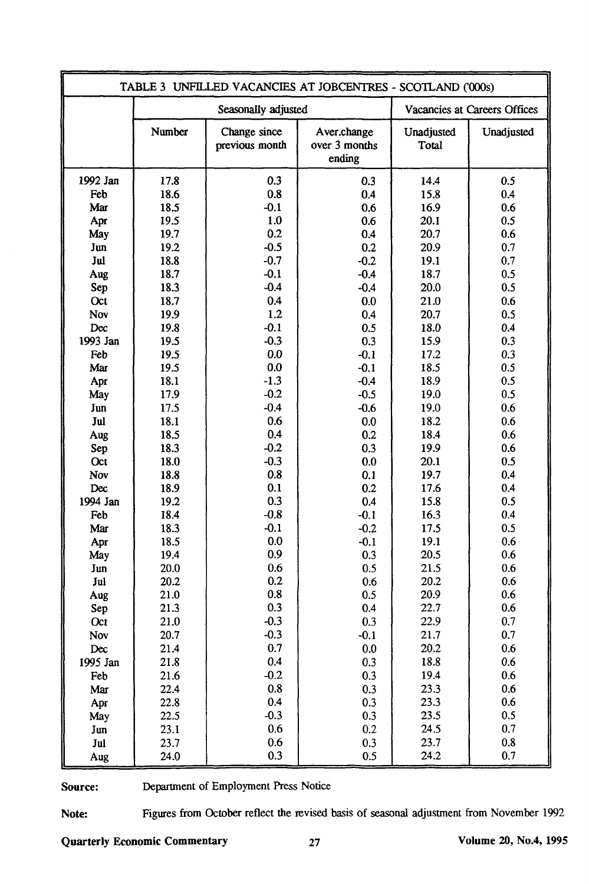|            |              |                                | TABLE 3 UNFILLED VACANCIES AT JOBCENTRES - SCOTLAND ('000s) |                     |                              |
|------------|--------------|--------------------------------|-------------------------------------------------------------|---------------------|------------------------------|
|            |              | Seasonally adjusted            |                                                             |                     | Vacancies at Careers Offices |
|            | Number       | Change since<br>previous month | Aver.change<br>over 3 months<br>ending                      | Unadjusted<br>Total | Unadjusted                   |
| 1992 Jan   | 17.8         | 0.3                            | 0.3                                                         | 14.4                | 0.5                          |
| Feb        | 18.6         | 0.8                            | 0.4                                                         | 15.8                | 0.4                          |
| Mar        | 18.5         | $-0.1$                         | 0.6                                                         | 16.9                | 0.6                          |
| Apr        | 19.5         | 1.0                            | 0.6                                                         | 20.1                | 0.5                          |
| May        | 19.7         | 0.2                            | 0.4                                                         | 20.7                | 0.6                          |
| Jun        | 19.2         | $-0.5$                         | 0.2                                                         | 20.9                | 0.7                          |
| Jul        | 18.8         | $-0.7$                         | $-0.2$                                                      | 19.1                | 0.7                          |
| Aug        | 18.7         | $-0.1$                         | $-0.4$                                                      | 18.7                | 0.5                          |
| Sep        | 18.3         | $-0.4$                         | $-0.4$                                                      | 20.0                | 0.5                          |
| Oct        | 18.7         | 0.4                            | 0.0                                                         | 21.0                | 0.6                          |
| Nov        | 19.9         | 1.2                            | 0.4                                                         | 20.7                | 0.5                          |
| Dec        | 19.8         | $-0.1$                         | 0.5                                                         | 18.0                | 0.4                          |
| 1993 Jan   | 19.5         | $-0.3$                         | 0.3                                                         | 15.9                | 0.3                          |
| Feb        | 19.5         | 0.0                            | $-0.1$                                                      | 17.2                | 0.3                          |
| Mar        | 19.5         | 0.0                            | $-0.1$                                                      | 18.5                | 0.5                          |
| Apr        | 18.1         | $-1.3$                         | $-0.4$                                                      | 18.9                | 0.5                          |
| May        | 17.9         | $-0.2$                         | $-0.5$                                                      | 19.0                | 0.5                          |
| Jun        | 17.5         | $-0.4$                         | $-0.6$                                                      | 19.0                | 0.6                          |
| Jul        | 18.1         | 0.6                            | 0.0                                                         | 18.2                | 0.6                          |
| Aug        | 18.5         | 0.4                            | 0.2                                                         | 18.4                | 0.6                          |
| Sep        | 18.3         | $-0.2$                         | 0.3                                                         | 19.9                | 0.6                          |
| Oct        | 18.0         | $-0.3$                         | 0.0                                                         | 20.1                | 0.5                          |
| Nov        | 18.8         | 0.8                            | 0.1                                                         | 19.7                | 0.4                          |
| Dec        | 18.9         | 0.1<br>0.3                     | 0.2                                                         | 17.6                | 0.4                          |
| 1994 Jan   | 19.2<br>18.4 | $-0.8$                         | 0.4                                                         | 15.8                | 0.5<br>0.4                   |
| Feb        | 18.3         | $-0.1$                         | $-0.1$<br>$-0.2$                                            | 16.3<br>17.5        | 0.5                          |
| Mar        | 18.5         | 0.0                            | $-0.1$                                                      | 19.1                | 0.6                          |
| Apr<br>May | 19.4         | 0.9                            | 0.3                                                         | 20.5                | 0.6                          |
| Jun        | 20.0         | 0.6                            | 0.5                                                         | 21.5                | 0.6                          |
| Jul        | 20.2         | 0.2                            | 0.6                                                         | 20.2                | 0.6                          |
| Aug        | 21.0         | 0.8                            | 0.5                                                         | 20.9                | 0.6                          |
| Sep        | 21.3         | 0.3                            | 0.4                                                         | 22.7                | 0.6                          |
| Oct        | 21.0         | $-0.3$                         | 0.3                                                         | 22.9                | 0.7                          |
| Nov        | 20.7         | $-0.3$                         | $-0.1$                                                      | 21.7                | 0.7                          |
| Dec        | 21.4         | 0.7                            | 0.0                                                         | 20.2                | 0.6                          |
| 1995 Jan   | 21.8         | 0.4                            | 0.3                                                         | 18.8                | 0.6                          |
| Feb        | 21.6         | $-0.2$                         | 0.3                                                         | 19.4                | 0.6                          |
| Mar        | 22.4         | 0.8                            | 0.3                                                         | 23.3                | 0.6                          |
| Apr        | 22.8         | 0.4                            | 0.3                                                         | 23.3                | 0.6                          |
| May        | 22.5         | $-0.3$                         | 0.3                                                         | 23.5                | 0.5                          |
| Jun        | 23.1         | 0.6                            | 0.2                                                         | 24.5                | 0.7                          |
| Jul        | 23.7         | 0.6                            | 0.3                                                         | 23.7                | 0.8                          |
| Aug        | 24.0         | 0.3                            | 0.5                                                         | 24.2                | 0.7                          |

Source: Department of Employment Press Notice

Note: Figures from October reflect the revised basis of seasonal adjustment from November 1992

Quarterly Economic Commentary 27 Volume 20, No.4, 1995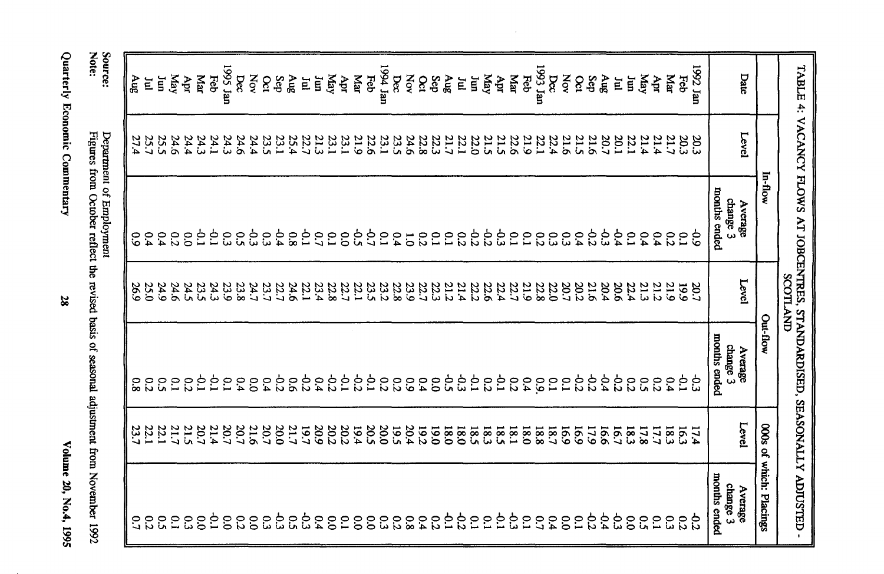Volume 20, No.4, 1995

Quarterly Economic Commentary

Source:<br>Note: Department of Employment<br>Figures from October reflect the revised basis of seasonal adjustment from November 1992

|                   |                     | TABLE 4: VACANCY FLOWS AT JOBCENTRES, STANDARDISES, SEASONALLY ADUSTED- | SCOTLAND            |                                     |                                             |                                     |
|-------------------|---------------------|-------------------------------------------------------------------------|---------------------|-------------------------------------|---------------------------------------------|-------------------------------------|
|                   |                     | In-flow                                                                 |                     | Out-flow                            |                                             | 000s of which: Placings             |
| Date              | Level               | months ended<br>change 3<br>Average                                     | Level               | months ended<br>change 3<br>Average | Level                                       | months ended<br>change 3<br>Average |
| 1992 Jan          | 20.3                | خ<br>6                                                                  | 20.7                | ج<br>ت                              | 17.4                                        | 55                                  |
| Feb               | 20.3<br>21.7        | $\tilde{C}$                                                             | 661                 | 5.                                  | 16.3                                        | $\overline{c}$                      |
| щаг               |                     | $\overline{c}$                                                          | 21.9                | 0.4                                 | 18.3                                        | <u>င</u> ္ပ                         |
| Apr               | 21.4                | 6.4                                                                     | 21.2                | 0.2                                 | 17.7                                        | $\tilde{c}$                         |
| Kay<br>ίщ         | 22.1<br>21.4        | $\tilde{c}$<br>$\overline{c}$                                           | 22.4<br>21.3        | $\overline{c}$<br>ິດ                | 18.3<br>17.8                                | $\overline{0.0}$<br>ິດ<br>ທີ        |
| Ĕ                 | 20.1                | $\mathcal{L}$                                                           | 20.6                | 22                                  | 16.7                                        | خ<br>تا                             |
| $\sin \gamma$     | 20.7                | ج<br>ج                                                                  | 20.4                | 9.4                                 | <b>16.6</b>                                 | ⊅.4                                 |
| Sep               | 21.6                | $\frac{1}{2}$                                                           | 21.6                | <b>P.2</b>                          | 17.9                                        | $\overline{c}$                      |
| $\delta$          | 21.5                | 0.4                                                                     | 20.2                | -0.2                                | 691                                         | $\overline{C}$                      |
| XOV<br>Dec        | 22.4<br>21.6        | $\tilde{\bm{c}}$                                                        | 22.0<br>20.7        | $\overline{C}$                      | 16.9                                        | $\overline{0}$                      |
| <b>T933</b> Jan   | 22.1                | $\overline{c}$<br>εs                                                    | 22.8                | 60<br>$\overline{C}$                | $\begin{array}{c} 18.7 \\ 18.8 \end{array}$ | $\mathbf{C}$<br>$\mathcal{L}$       |
| Feb               | 21.9                | $\overline{C}$                                                          |                     | 0.4                                 | <b>0.81</b>                                 | $\tilde{c}$                         |
| Nar               | 22.6                | $\tilde{c}$                                                             |                     | $\overline{c}$                      |                                             | င္ပ                                 |
| Yay<br>Apr        | 21.5<br>21.5        | έ¢<br>9.2                                                               | 21.9<br>22.44       | $\overline{C}$<br>0.2               | $18.1$<br>$18.3$                            | $\overline{5}$<br>$\mathbf{C}$      |
| Ξ                 | 22.0                | 22                                                                      | 22.2                | $\overline{5}$                      | 581                                         | $\tilde{c}$                         |
| E                 | 22.1                | $\overline{c}$                                                          | 21.4                | خ<br>ب                              | 0.81                                        | $\sigma$                            |
| Sep<br>gny        | 21.7<br>22.3        | $\overline{10}$<br>$\tilde{c}$                                          | 21.2                | ჭ<br>ი<br>$\overline{00}$           | 0'61<br><b>0.81</b>                         | $\overline{5}$<br>$\overline{c}$    |
| $\infty$          | 22.8                | 0.2                                                                     | 22.3                | 0.4                                 | <b>19.2</b>                                 | 64                                  |
| XOV               | 24.6                | $\overline{C}$                                                          | 23.9                | $60^{\circ}$                        | 20.4                                        | $\overline{\mathbf{8}}$             |
| ngy tan<br>bec    | 23.1<br>23.5        | <u>P</u><br>0.4                                                         | 22.8<br>23.2        | 0.2                                 | 20.0<br>19.5                                | 53                                  |
| Feb               | 22.6                | ς,                                                                      | 23.5                | م.<br>-<br>$\overline{c}$           | 20.5                                        | $\delta$<br>ς3                      |
| даг               | 21.9                | င်္                                                                     |                     | 22                                  | 19.4                                        | $\tilde{\mathrm{o}}$                |
| Apr               | 23.1                | 0.0                                                                     | 22.1<br>22.8        | $\overline{c}$                      | 20.2                                        | $\overline{C}$                      |
| Уау               | 23.1                | $\tilde{c}$                                                             |                     | $-0.2$                              | 20.2                                        | $\frac{1}{2}$                       |
| ίщ<br>E           | $\frac{21.3}{22.7}$ | ξ,<br>$\overline{0.7}$                                                  | $\frac{23.4}{22.1}$ | 0.4                                 | 20.9<br>19.7                                | خ<br>ت<br>6.4                       |
| <b>Aug</b>        | 25.4                | $\overline{\infty}$                                                     | 24.6                | 0.5                                 | 21.7                                        | $\tilde{\mathbf{c}}$                |
| Sep               | 23.1                | $-0.4$                                                                  |                     |                                     | 20.0                                        | င်း                                 |
| Nov<br><b>Oct</b> | 24.4<br>23.5        | ξP<br>$\mathbf{c}_3$                                                    | 22.7.7<br>23.7      | 0.0000000                           | 20.7<br>21.6                                | $\overline{0}$<br>င္ပ               |
| bec               | 24.6                | $\tilde{c}$                                                             | 23.8                | 0.4                                 | 20.7                                        | $\overline{c}$                      |
| 1995 Jan          | 24.3                | $\Omega$                                                                | 23.9                | $\tilde{c}$                         | 20.7                                        | $\tilde{c}$                         |
| цаг<br>Feb        | 24.3<br>24.1        | ξ<br>ξ,                                                                 | 24.3<br>23.5        | 5.i<br><u>ဉ</u>                     | 21.4<br>20.7                                | 5.i<br>$\overline{0}$               |
| Apr               | 24.4                | $\overline{0}$                                                          | 24.5                | $\overline{c}$                      | 21.5                                        | $\mathbf{c}_3$                      |
| Yay               | 24.6                | $\overline{c}$                                                          | 24.6                | 0.1                                 |                                             | $\tilde{c}$                         |
| Ξ                 | 25.5                | 0.4                                                                     | 24.9                |                                     | 21.7<br>22.1                                | $5^{\circ}$                         |
| E                 | 25.7<br>27.4        | $60^{\circ}$                                                            | 26.9<br>25.0        | $\overline{c}$<br>8.0               | 23.                                         | 0.2<br>$\overline{c}$               |
| guA               |                     |                                                                         |                     |                                     |                                             |                                     |

 $\sim$ 

28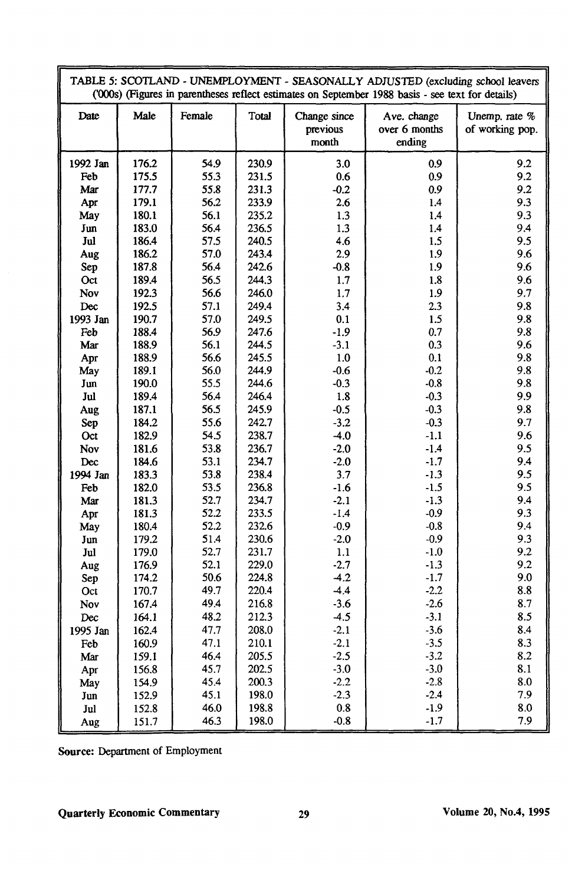|          |       |        |       |                                   | TABLE 5: SCOTLAND - UNEMPLOYMENT - SEASONALLY ADJUSTED (excluding school leavers<br>('000s) (Figures in parentheses reflect estimates on September 1988 basis - see text for details) |                                  |
|----------|-------|--------|-------|-----------------------------------|---------------------------------------------------------------------------------------------------------------------------------------------------------------------------------------|----------------------------------|
| Date     | Male  | Female | Total | Change since<br>previous<br>month | Ave. change<br>over 6 months<br>ending                                                                                                                                                | Unemp. rate %<br>of working pop. |
| 1992 Jan | 176.2 | 54.9   | 230.9 | 3.0                               | 0.9                                                                                                                                                                                   | 9.2                              |
| Feb      | 175.5 | 55.3   | 231.5 | 0.6                               | 0.9                                                                                                                                                                                   | 9.2                              |
| Mar      | 177.7 | 55.8   | 231.3 | $-0.2$                            | 0.9                                                                                                                                                                                   | 9.2                              |
| Apr      | 179.1 | 56.2   | 233.9 | 2.6                               | 1.4                                                                                                                                                                                   | 9.3                              |
| May      | 180.1 | 56.1   | 235.2 | 1.3                               | 1.4                                                                                                                                                                                   | 9.3                              |
| Jun      | 183.0 | 56.4   | 236.5 | 1.3                               | 1.4                                                                                                                                                                                   | 9.4                              |
| Jul      | 186.4 | 57.5   | 240.5 | 4.6                               | 1.5                                                                                                                                                                                   | 9.5                              |
| Aug      | 186.2 | 57.0   | 243.4 | 2.9                               | 1.9                                                                                                                                                                                   | 9.6                              |
| Sep      | 187.8 | 56.4   | 242.6 | $-0.8$                            | 1.9                                                                                                                                                                                   | 9.6                              |
| Oct      | 189.4 | 56.5   | 244.3 | 1.7                               | 1.8                                                                                                                                                                                   | 9.6                              |
| Nov      | 192.3 | 56.6   | 246.0 | 1.7                               | 1.9                                                                                                                                                                                   | 9.7                              |
| Dec      | 192.5 | 57.1   | 249.4 | 3.4                               | 2.3                                                                                                                                                                                   | 9.8                              |
| 1993 Jan | 190.7 | 57.0   | 249.5 | 0.1                               | 1.5                                                                                                                                                                                   | 9.8                              |
| Feb      | 188.4 | 56.9   | 247.6 | $-1.9$                            | 0.7                                                                                                                                                                                   | 9.8                              |
| Mar      | 188.9 | 56.1   | 244.5 | $-3.1$                            | 0.3                                                                                                                                                                                   | 9.6                              |
| Apr      | 188.9 | 56.6   | 245.5 | 1.0                               | 0.1                                                                                                                                                                                   | 9.8                              |
| May      | 189.1 | 56.0   | 244.9 | $-0.6$                            | $-0.2$                                                                                                                                                                                | 9.8                              |
| Jun      | 190.0 | 55.5   | 244.6 | $-0.3$                            | $-0.8$                                                                                                                                                                                | 9.8                              |
| Jul      | 189.4 | 56.4   | 246.4 | 1.8                               | $-0.3$                                                                                                                                                                                | 9.9                              |
| Aug      | 187.1 | 56.5   | 245.9 | $-0.5$                            | $-0.3$                                                                                                                                                                                | 9.8                              |
| Sep      | 184.2 | 55.6   | 242.7 | $-3.2$                            | $-0.3$                                                                                                                                                                                | 9.7                              |
| Oct      | 182.9 | 54.5   | 238.7 | $-4.0$                            | $-1.1$                                                                                                                                                                                | 9.6                              |
| Nov      | 181.6 | 53.8   | 236.7 | $-2.0$                            | $-1.4$                                                                                                                                                                                | 9.5                              |
| Dec      | 184.6 | 53.1   | 234.7 | $-2.0$                            | $-1.7$                                                                                                                                                                                | 9.4                              |
| 1994 Jan | 183.3 | 53.8   | 238.4 | 3.7                               | $-1.3$                                                                                                                                                                                | 9.5                              |
| Feb      | 182.0 | 53.5   | 236.8 | $-1.6$                            | $-1.5$                                                                                                                                                                                | 9.5                              |
| Mar      | 181.3 | 52.7   | 234.7 | $-2.1$                            | $-1.3$                                                                                                                                                                                | 9.4                              |
| Apr      | 181.3 | 52.2   | 233.5 | $-1.4$                            | $-0.9$                                                                                                                                                                                | 9.3                              |
| May      | 180.4 | 52.2   | 232.6 | $-0.9$                            | $-0.8$                                                                                                                                                                                | 9.4                              |
| Jun      | 179.2 | 51.4   | 230.6 | $-2.0$                            | $-0.9$                                                                                                                                                                                | 9.3                              |
| Jul      | 179.0 | 52.7   | 231.7 | 1.1                               | $-1.0$                                                                                                                                                                                | 9.2                              |
| Aug      | 176.9 | 52.1   | 229.0 | $-2.7$                            | $-1.3$                                                                                                                                                                                | 9.2                              |
| Sep      | 174.2 | 50.6   | 224.8 | $-4.2$                            | $-1.7$                                                                                                                                                                                | 9.0                              |
| Oct      | 170.7 | 49.7   | 220.4 | $-4.4$                            | $-2.2$                                                                                                                                                                                | 8.8                              |
| Nov      | 167.4 | 49.4   | 216.8 | $-3.6$                            | $-2.6$                                                                                                                                                                                | 8.7                              |
| Dec      | 164.1 | 48.2   | 212.3 | $-4.5$                            | $-3.1$                                                                                                                                                                                | 8.5                              |
| 1995 Jan | 162.4 | 47.7   | 208.0 | $-2.1$                            | $-3.6$                                                                                                                                                                                | 8.4                              |
| Feb      | 160.9 | 47.1   | 210.1 | $-2.1$                            | $-3.5$                                                                                                                                                                                | 8.3                              |
| Mar      | 159.1 | 46.4   | 205.5 | $-2.5$                            | $-3.2$                                                                                                                                                                                | 8.2                              |
| Apr      | 156.8 | 45.7   | 202.5 | $-3.0$                            | $-3.0$                                                                                                                                                                                | 8.1                              |
| May      | 154.9 | 45.4   | 200.3 | $-2.2$                            | $-2.8$                                                                                                                                                                                | 8.0                              |
| Jun      | 152.9 | 45.1   | 198.0 | $-2.3$                            | $-2.4$                                                                                                                                                                                | 7.9                              |
| Jul      | 152.8 | 46.0   | 198.8 | $0.8\,$                           | $-1.9$                                                                                                                                                                                | 8.0                              |
| Aug      | 151.7 | 46.3   | 198.0 | $-0.8$                            | $-1.7$                                                                                                                                                                                | 7.9                              |

Source: Department of Employment